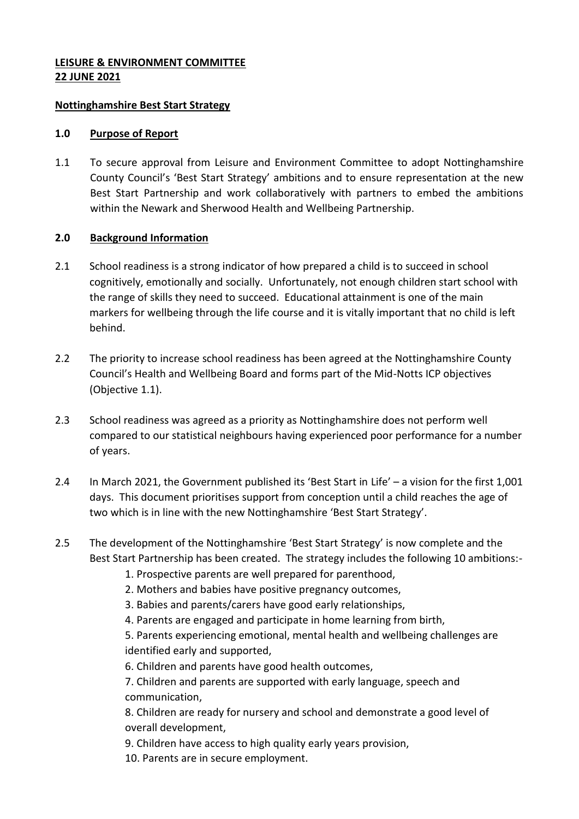## **LEISURE & ENVIRONMENT COMMITTEE 22 JUNE 2021**

### **Nottinghamshire Best Start Strategy**

### **1.0 Purpose of Report**

1.1 To secure approval from Leisure and Environment Committee to adopt Nottinghamshire County Council's 'Best Start Strategy' ambitions and to ensure representation at the new Best Start Partnership and work collaboratively with partners to embed the ambitions within the Newark and Sherwood Health and Wellbeing Partnership.

# **2.0 Background Information**

- 2.1 School readiness is a strong indicator of how prepared a child is to succeed in school cognitively, emotionally and socially. Unfortunately, not enough children start school with the range of skills they need to succeed. Educational attainment is one of the main markers for wellbeing through the life course and it is vitally important that no child is left behind.
- 2.2 The priority to increase school readiness has been agreed at the Nottinghamshire County Council's Health and Wellbeing Board and forms part of the Mid-Notts ICP objectives (Objective 1.1).
- 2.3 School readiness was agreed as a priority as Nottinghamshire does not perform well compared to our statistical neighbours having experienced poor performance for a number of years.
- 2.4 In March 2021, the Government published its 'Best Start in Life' a vision for the first 1,001 days. This document prioritises support from conception until a child reaches the age of two which is in line with the new Nottinghamshire 'Best Start Strategy'.
- 2.5 The development of the Nottinghamshire 'Best Start Strategy' is now complete and the Best Start Partnership has been created. The strategy includes the following 10 ambitions:-
	- 1. Prospective parents are well prepared for parenthood,
	- 2. Mothers and babies have positive pregnancy outcomes,
	- 3. Babies and parents/carers have good early relationships,
	- 4. Parents are engaged and participate in home learning from birth,

5. Parents experiencing emotional, mental health and wellbeing challenges are identified early and supported,

6. Children and parents have good health outcomes,

7. Children and parents are supported with early language, speech and communication,

8. Children are ready for nursery and school and demonstrate a good level of overall development,

- 9. Children have access to high quality early years provision,
- 10. Parents are in secure employment.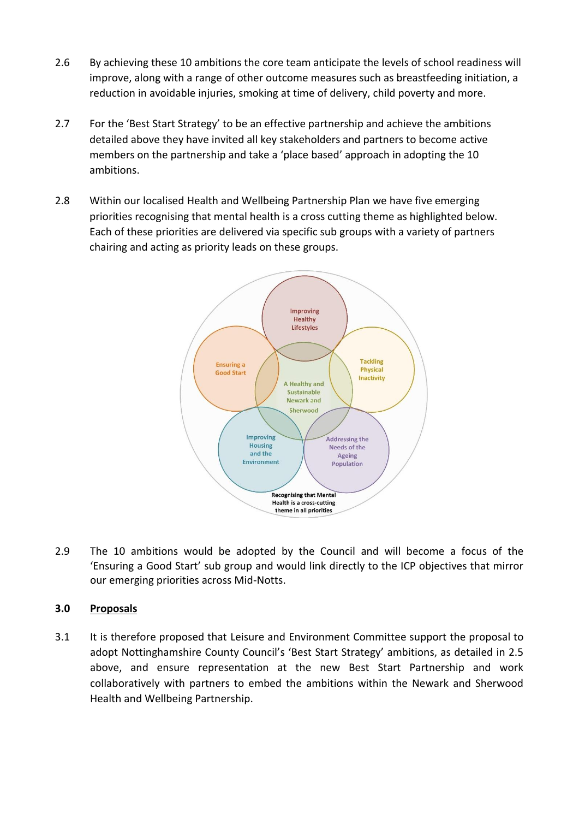- 2.6 By achieving these 10 ambitions the core team anticipate the levels of school readiness will improve, along with a range of other outcome measures such as breastfeeding initiation, a reduction in avoidable injuries, smoking at time of delivery, child poverty and more.
- 2.7 For the 'Best Start Strategy' to be an effective partnership and achieve the ambitions detailed above they have invited all key stakeholders and partners to become active members on the partnership and take a 'place based' approach in adopting the 10 ambitions.
- 2.8 Within our localised Health and Wellbeing Partnership Plan we have five emerging priorities recognising that mental health is a cross cutting theme as highlighted below. Each of these priorities are delivered via specific sub groups with a variety of partners chairing and acting as priority leads on these groups.



2.9 The 10 ambitions would be adopted by the Council and will become a focus of the 'Ensuring a Good Start' sub group and would link directly to the ICP objectives that mirror our emerging priorities across Mid-Notts.

# **3.0 Proposals**

3.1 It is therefore proposed that Leisure and Environment Committee support the proposal to adopt Nottinghamshire County Council's 'Best Start Strategy' ambitions, as detailed in 2.5 above, and ensure representation at the new Best Start Partnership and work collaboratively with partners to embed the ambitions within the Newark and Sherwood Health and Wellbeing Partnership.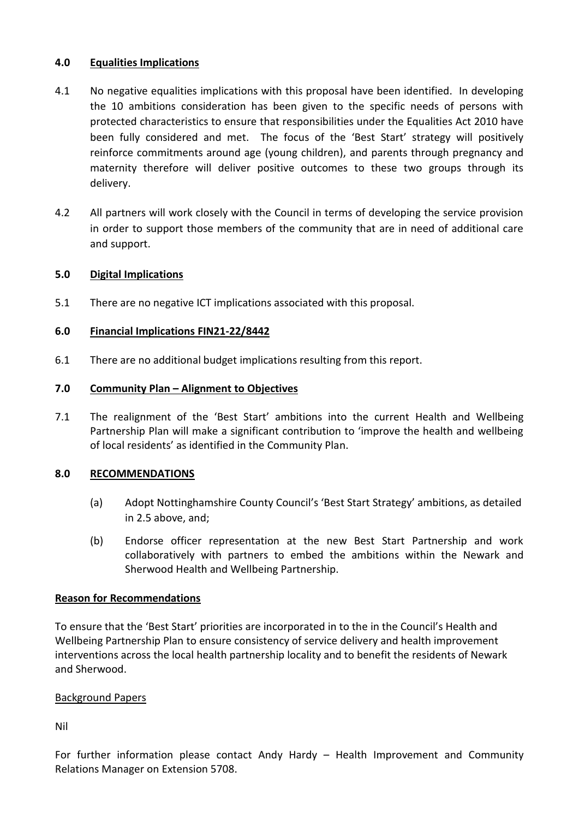## **4.0 Equalities Implications**

- 4.1 No negative equalities implications with this proposal have been identified. In developing the 10 ambitions consideration has been given to the specific needs of persons with protected characteristics to ensure that responsibilities under the Equalities Act 2010 have been fully considered and met. The focus of the 'Best Start' strategy will positively reinforce commitments around age (young children), and parents through pregnancy and maternity therefore will deliver positive outcomes to these two groups through its delivery.
- 4.2 All partners will work closely with the Council in terms of developing the service provision in order to support those members of the community that are in need of additional care and support.

# **5.0 Digital Implications**

5.1 There are no negative ICT implications associated with this proposal.

### **6.0 Financial Implications FIN21-22/8442**

6.1 There are no additional budget implications resulting from this report.

### **7.0 Community Plan – Alignment to Objectives**

7.1 The realignment of the 'Best Start' ambitions into the current Health and Wellbeing Partnership Plan will make a significant contribution to 'improve the health and wellbeing of local residents' as identified in the Community Plan.

### **8.0 RECOMMENDATIONS**

- (a) Adopt Nottinghamshire County Council's 'Best Start Strategy' ambitions, as detailed in 2.5 above, and;
- (b) Endorse officer representation at the new Best Start Partnership and work collaboratively with partners to embed the ambitions within the Newark and Sherwood Health and Wellbeing Partnership.

### **Reason for Recommendations**

To ensure that the 'Best Start' priorities are incorporated in to the in the Council's Health and Wellbeing Partnership Plan to ensure consistency of service delivery and health improvement interventions across the local health partnership locality and to benefit the residents of Newark and Sherwood.

### Background Papers

Nil

For further information please contact Andy Hardy – Health Improvement and Community Relations Manager on Extension 5708.